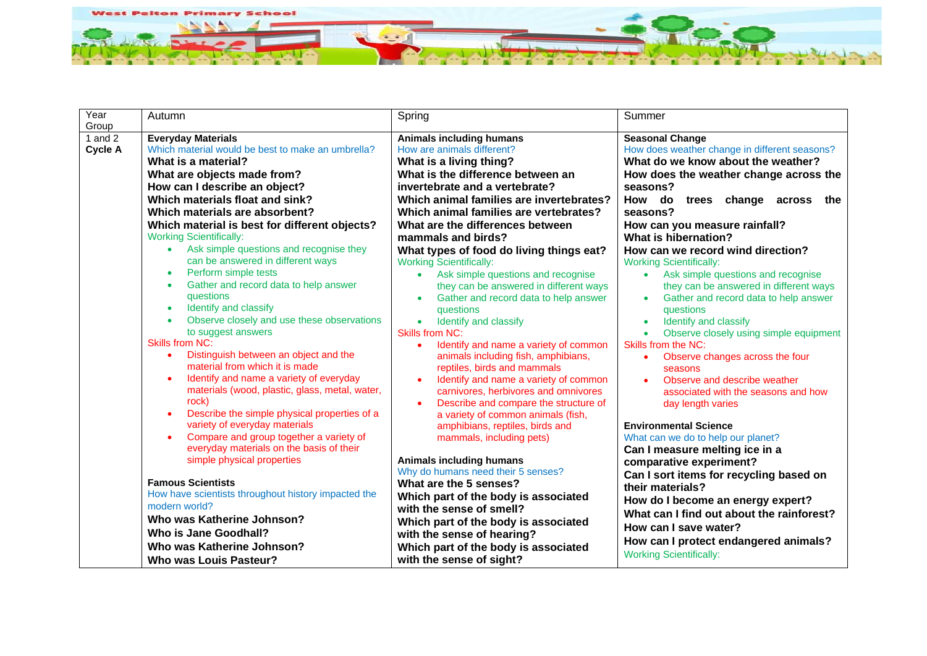

| Year<br>Group               | Autumn                                                                                                                                                                                                                                                                                                                                                                                                                                                                                                                                                                                                                                                                                                                                                                                                                                                                                                                                                                                                                                                                                                                                                                                                                                                               | Spring                                                                                                                                                                                                                                                                                                                                                                                                                                                                                                                                                                                                                                                                                                                                                                                                                                                                                                                                                                                                                                                                                                                                                                                                                                                                                       | Summer                                                                                                                                                                                                                                                                                                                                                                                                                                                                                                                                                                                                                                                                                                                                                                                                                                                                                                                                                                                                                                                                                                                                              |
|-----------------------------|----------------------------------------------------------------------------------------------------------------------------------------------------------------------------------------------------------------------------------------------------------------------------------------------------------------------------------------------------------------------------------------------------------------------------------------------------------------------------------------------------------------------------------------------------------------------------------------------------------------------------------------------------------------------------------------------------------------------------------------------------------------------------------------------------------------------------------------------------------------------------------------------------------------------------------------------------------------------------------------------------------------------------------------------------------------------------------------------------------------------------------------------------------------------------------------------------------------------------------------------------------------------|----------------------------------------------------------------------------------------------------------------------------------------------------------------------------------------------------------------------------------------------------------------------------------------------------------------------------------------------------------------------------------------------------------------------------------------------------------------------------------------------------------------------------------------------------------------------------------------------------------------------------------------------------------------------------------------------------------------------------------------------------------------------------------------------------------------------------------------------------------------------------------------------------------------------------------------------------------------------------------------------------------------------------------------------------------------------------------------------------------------------------------------------------------------------------------------------------------------------------------------------------------------------------------------------|-----------------------------------------------------------------------------------------------------------------------------------------------------------------------------------------------------------------------------------------------------------------------------------------------------------------------------------------------------------------------------------------------------------------------------------------------------------------------------------------------------------------------------------------------------------------------------------------------------------------------------------------------------------------------------------------------------------------------------------------------------------------------------------------------------------------------------------------------------------------------------------------------------------------------------------------------------------------------------------------------------------------------------------------------------------------------------------------------------------------------------------------------------|
| 1 and $2$<br><b>Cycle A</b> | <b>Everyday Materials</b><br>Which material would be best to make an umbrella?<br>What is a material?<br>What are objects made from?<br>How can I describe an object?<br>Which materials float and sink?<br>Which materials are absorbent?<br>Which material is best for different objects?<br><b>Working Scientifically:</b><br>Ask simple questions and recognise they<br>can be answered in different ways<br>Perform simple tests<br>$\bullet$<br>Gather and record data to help answer<br>questions<br>Identify and classify<br>$\bullet$<br>Observe closely and use these observations<br>to suggest answers<br><b>Skills from NC:</b><br>Distinguish between an object and the<br>material from which it is made<br>Identify and name a variety of everyday<br>materials (wood, plastic, glass, metal, water,<br>rock)<br>Describe the simple physical properties of a<br>variety of everyday materials<br>Compare and group together a variety of<br>everyday materials on the basis of their<br>simple physical properties<br><b>Famous Scientists</b><br>How have scientists throughout history impacted the<br>modern world?<br>Who was Katherine Johnson?<br><b>Who is Jane Goodhall?</b><br>Who was Katherine Johnson?<br><b>Who was Louis Pasteur?</b> | <b>Animals including humans</b><br>How are animals different?<br>What is a living thing?<br>What is the difference between an<br>invertebrate and a vertebrate?<br>Which animal families are invertebrates?<br>Which animal families are vertebrates?<br>What are the differences between<br>mammals and birds?<br>What types of food do living things eat?<br><b>Working Scientifically:</b><br>Ask simple questions and recognise<br>$\bullet$<br>they can be answered in different ways<br>Gather and record data to help answer<br>questions<br>Identify and classify<br>$\bullet$<br><b>Skills from NC:</b><br>Identify and name a variety of common<br>animals including fish, amphibians,<br>reptiles, birds and mammals<br>Identify and name a variety of common<br>carnivores, herbivores and omnivores<br>Describe and compare the structure of<br>$\bullet$<br>a variety of common animals (fish,<br>amphibians, reptiles, birds and<br>mammals, including pets)<br><b>Animals including humans</b><br>Why do humans need their 5 senses?<br>What are the 5 senses?<br>Which part of the body is associated<br>with the sense of smell?<br>Which part of the body is associated<br>with the sense of hearing?<br>Which part of the body is associated<br>with the sense of sight? | <b>Seasonal Change</b><br>How does weather change in different seasons?<br>What do we know about the weather?<br>How does the weather change across the<br>seasons?<br>How do<br>trees change across<br>the<br>seasons?<br>How can you measure rainfall?<br>What is hibernation?<br>How can we record wind direction?<br><b>Working Scientifically:</b><br>Ask simple questions and recognise<br>$\bullet$<br>they can be answered in different ways<br>Gather and record data to help answer<br>questions<br>Identify and classify<br>$\bullet$<br>Observe closely using simple equipment<br>Skills from the NC:<br>Observe changes across the four<br>seasons<br>Observe and describe weather<br>associated with the seasons and how<br>day length varies<br><b>Environmental Science</b><br>What can we do to help our planet?<br>Can I measure melting ice in a<br>comparative experiment?<br>Can I sort items for recycling based on<br>their materials?<br>How do I become an energy expert?<br>What can I find out about the rainforest?<br>How can I save water?<br>How can I protect endangered animals?<br><b>Working Scientifically:</b> |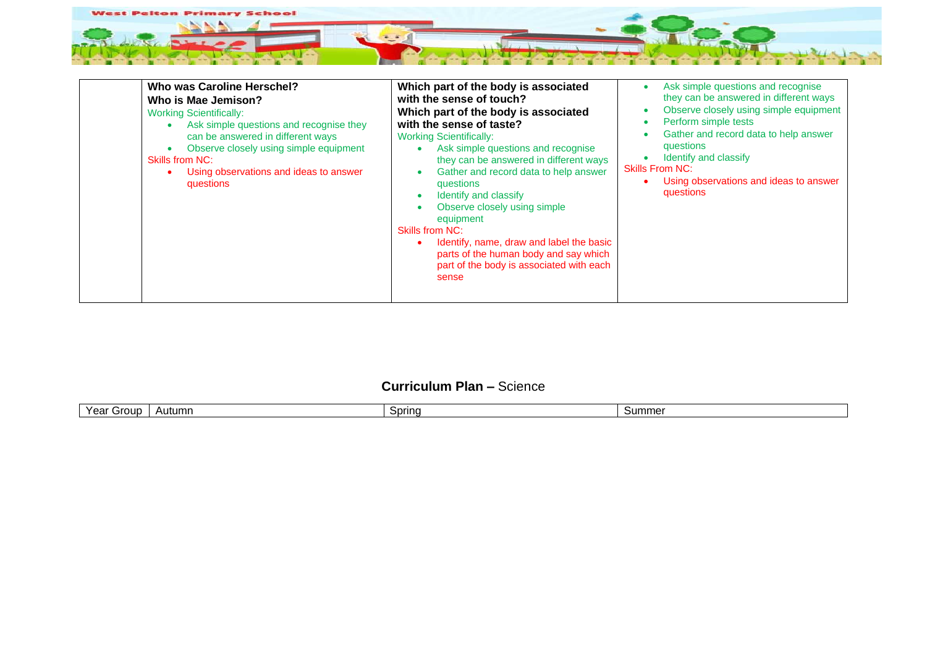

| Who was Caroline Herschel?<br>Who is Mae Jemison?<br><b>Working Scientifically:</b><br>Ask simple questions and recognise they<br>can be answered in different ways<br>Observe closely using simple equipment<br>$\bullet$<br><b>Skills from NC:</b><br>Using observations and ideas to answer<br>questions | Which part of the body is associated<br>with the sense of touch?<br>Which part of the body is associated<br>with the sense of taste?<br><b>Working Scientifically:</b><br>Ask simple questions and recognise<br>$\bullet$<br>they can be answered in different ways<br>Gather and record data to help answer<br>٠<br>questions<br>Identify and classify<br>٠<br>Observe closely using simple<br>٠<br>equipment<br><b>Skills from NC:</b><br>Identify, name, draw and label the basic<br>parts of the human body and say which<br>part of the body is associated with each<br>sense | Ask simple questions and recognise<br>$\bullet$<br>they can be answered in different ways<br>Observe closely using simple equipment<br>Perform simple tests<br>$\bullet$<br>Gather and record data to help answer<br>questions<br>Identify and classify<br><b>Skills From NC:</b><br>Using observations and ideas to answer<br>questions |
|-------------------------------------------------------------------------------------------------------------------------------------------------------------------------------------------------------------------------------------------------------------------------------------------------------------|------------------------------------------------------------------------------------------------------------------------------------------------------------------------------------------------------------------------------------------------------------------------------------------------------------------------------------------------------------------------------------------------------------------------------------------------------------------------------------------------------------------------------------------------------------------------------------|------------------------------------------------------------------------------------------------------------------------------------------------------------------------------------------------------------------------------------------------------------------------------------------------------------------------------------------|
|-------------------------------------------------------------------------------------------------------------------------------------------------------------------------------------------------------------------------------------------------------------------------------------------------------------|------------------------------------------------------------------------------------------------------------------------------------------------------------------------------------------------------------------------------------------------------------------------------------------------------------------------------------------------------------------------------------------------------------------------------------------------------------------------------------------------------------------------------------------------------------------------------------|------------------------------------------------------------------------------------------------------------------------------------------------------------------------------------------------------------------------------------------------------------------------------------------------------------------------------------------|

## **Curriculum Plan –** Science

|  | $\mathcal{L}_{\mathbf{A}}$<br>rour<br>. .<br>eal | Autumn<br><u>д</u> . | Sprinc | sum<br>ımer |
|--|--------------------------------------------------|----------------------|--------|-------------|
|--|--------------------------------------------------|----------------------|--------|-------------|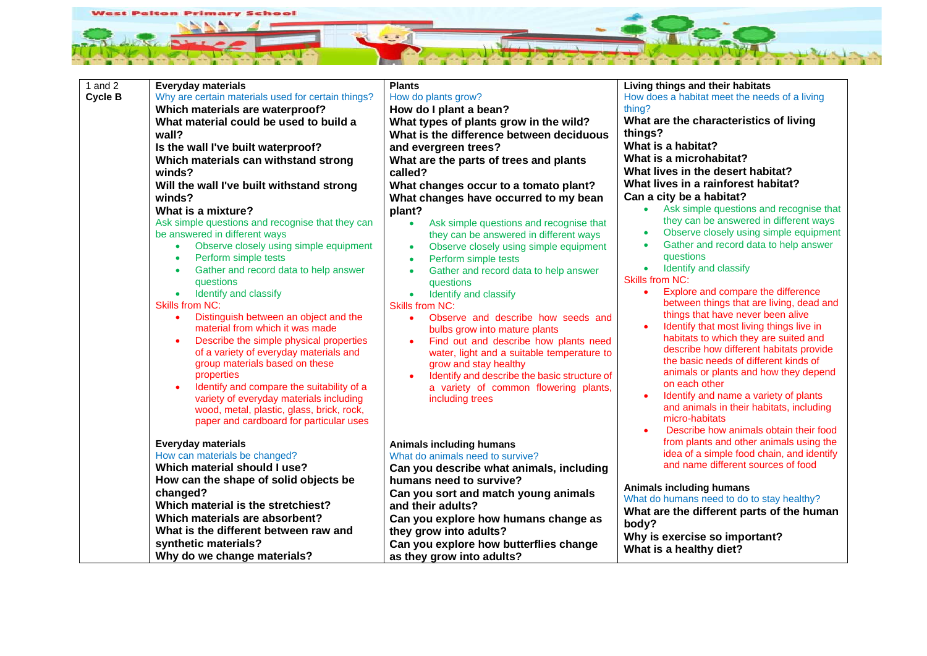

| 1 and $2$ | <b>Everyday materials</b>                                                                                                                                                                                                                                                                                                                                                                                                                                                                                                                                                                                                                  | <b>Plants</b>                                                                                                                                                                                                                                                                                                                                                                                                                                                                                                                                                                    | Living things and their habitats                                                                                                                                                                                                                                                                                                                                                                                                                                                                                                                                                                                                                                                                        |
|-----------|--------------------------------------------------------------------------------------------------------------------------------------------------------------------------------------------------------------------------------------------------------------------------------------------------------------------------------------------------------------------------------------------------------------------------------------------------------------------------------------------------------------------------------------------------------------------------------------------------------------------------------------------|----------------------------------------------------------------------------------------------------------------------------------------------------------------------------------------------------------------------------------------------------------------------------------------------------------------------------------------------------------------------------------------------------------------------------------------------------------------------------------------------------------------------------------------------------------------------------------|---------------------------------------------------------------------------------------------------------------------------------------------------------------------------------------------------------------------------------------------------------------------------------------------------------------------------------------------------------------------------------------------------------------------------------------------------------------------------------------------------------------------------------------------------------------------------------------------------------------------------------------------------------------------------------------------------------|
| Cycle B   | Why are certain materials used for certain things?                                                                                                                                                                                                                                                                                                                                                                                                                                                                                                                                                                                         | How do plants grow?                                                                                                                                                                                                                                                                                                                                                                                                                                                                                                                                                              | How does a habitat meet the needs of a living                                                                                                                                                                                                                                                                                                                                                                                                                                                                                                                                                                                                                                                           |
|           | Which materials are waterproof?                                                                                                                                                                                                                                                                                                                                                                                                                                                                                                                                                                                                            | How do I plant a bean?                                                                                                                                                                                                                                                                                                                                                                                                                                                                                                                                                           | thing?                                                                                                                                                                                                                                                                                                                                                                                                                                                                                                                                                                                                                                                                                                  |
|           | What material could be used to build a                                                                                                                                                                                                                                                                                                                                                                                                                                                                                                                                                                                                     | What types of plants grow in the wild?                                                                                                                                                                                                                                                                                                                                                                                                                                                                                                                                           | What are the characteristics of living                                                                                                                                                                                                                                                                                                                                                                                                                                                                                                                                                                                                                                                                  |
|           | wall?                                                                                                                                                                                                                                                                                                                                                                                                                                                                                                                                                                                                                                      | What is the difference between deciduous                                                                                                                                                                                                                                                                                                                                                                                                                                                                                                                                         | things?                                                                                                                                                                                                                                                                                                                                                                                                                                                                                                                                                                                                                                                                                                 |
|           | Is the wall I've built waterproof?                                                                                                                                                                                                                                                                                                                                                                                                                                                                                                                                                                                                         | and evergreen trees?                                                                                                                                                                                                                                                                                                                                                                                                                                                                                                                                                             | What is a habitat?                                                                                                                                                                                                                                                                                                                                                                                                                                                                                                                                                                                                                                                                                      |
|           | Which materials can withstand strong                                                                                                                                                                                                                                                                                                                                                                                                                                                                                                                                                                                                       | What are the parts of trees and plants                                                                                                                                                                                                                                                                                                                                                                                                                                                                                                                                           | What is a microhabitat?                                                                                                                                                                                                                                                                                                                                                                                                                                                                                                                                                                                                                                                                                 |
|           | winds?                                                                                                                                                                                                                                                                                                                                                                                                                                                                                                                                                                                                                                     | called?                                                                                                                                                                                                                                                                                                                                                                                                                                                                                                                                                                          | What lives in the desert habitat?                                                                                                                                                                                                                                                                                                                                                                                                                                                                                                                                                                                                                                                                       |
|           | Will the wall I've built withstand strong                                                                                                                                                                                                                                                                                                                                                                                                                                                                                                                                                                                                  | What changes occur to a tomato plant?                                                                                                                                                                                                                                                                                                                                                                                                                                                                                                                                            | What lives in a rainforest habitat?                                                                                                                                                                                                                                                                                                                                                                                                                                                                                                                                                                                                                                                                     |
|           | winds?                                                                                                                                                                                                                                                                                                                                                                                                                                                                                                                                                                                                                                     | What changes have occurred to my bean                                                                                                                                                                                                                                                                                                                                                                                                                                                                                                                                            | Can a city be a habitat?                                                                                                                                                                                                                                                                                                                                                                                                                                                                                                                                                                                                                                                                                |
|           | What is a mixture?                                                                                                                                                                                                                                                                                                                                                                                                                                                                                                                                                                                                                         | plant?                                                                                                                                                                                                                                                                                                                                                                                                                                                                                                                                                                           | Ask simple questions and recognise that<br>$\bullet$                                                                                                                                                                                                                                                                                                                                                                                                                                                                                                                                                                                                                                                    |
|           | Ask simple questions and recognise that they can                                                                                                                                                                                                                                                                                                                                                                                                                                                                                                                                                                                           | Ask simple questions and recognise that                                                                                                                                                                                                                                                                                                                                                                                                                                                                                                                                          | they can be answered in different ways                                                                                                                                                                                                                                                                                                                                                                                                                                                                                                                                                                                                                                                                  |
|           | be answered in different ways                                                                                                                                                                                                                                                                                                                                                                                                                                                                                                                                                                                                              | they can be answered in different ways                                                                                                                                                                                                                                                                                                                                                                                                                                                                                                                                           | Observe closely using simple equipment<br>$\bullet$                                                                                                                                                                                                                                                                                                                                                                                                                                                                                                                                                                                                                                                     |
|           | Observe closely using simple equipment<br>$\bullet$                                                                                                                                                                                                                                                                                                                                                                                                                                                                                                                                                                                        | Observe closely using simple equipment                                                                                                                                                                                                                                                                                                                                                                                                                                                                                                                                           | Gather and record data to help answer<br>$\bullet$                                                                                                                                                                                                                                                                                                                                                                                                                                                                                                                                                                                                                                                      |
|           | Perform simple tests                                                                                                                                                                                                                                                                                                                                                                                                                                                                                                                                                                                                                       | Perform simple tests                                                                                                                                                                                                                                                                                                                                                                                                                                                                                                                                                             | questions                                                                                                                                                                                                                                                                                                                                                                                                                                                                                                                                                                                                                                                                                               |
|           | Gather and record data to help answer<br>$\bullet$                                                                                                                                                                                                                                                                                                                                                                                                                                                                                                                                                                                         | Gather and record data to help answer                                                                                                                                                                                                                                                                                                                                                                                                                                                                                                                                            | Identify and classify<br>$\bullet$                                                                                                                                                                                                                                                                                                                                                                                                                                                                                                                                                                                                                                                                      |
|           | questions                                                                                                                                                                                                                                                                                                                                                                                                                                                                                                                                                                                                                                  | questions                                                                                                                                                                                                                                                                                                                                                                                                                                                                                                                                                                        | <b>Skills from NC:</b>                                                                                                                                                                                                                                                                                                                                                                                                                                                                                                                                                                                                                                                                                  |
|           | Identify and classify<br>$\bullet$                                                                                                                                                                                                                                                                                                                                                                                                                                                                                                                                                                                                         | Identify and classify<br>$\bullet$                                                                                                                                                                                                                                                                                                                                                                                                                                                                                                                                               | $\bullet$                                                                                                                                                                                                                                                                                                                                                                                                                                                                                                                                                                                                                                                                                               |
|           |                                                                                                                                                                                                                                                                                                                                                                                                                                                                                                                                                                                                                                            |                                                                                                                                                                                                                                                                                                                                                                                                                                                                                                                                                                                  |                                                                                                                                                                                                                                                                                                                                                                                                                                                                                                                                                                                                                                                                                                         |
|           | $\bullet$                                                                                                                                                                                                                                                                                                                                                                                                                                                                                                                                                                                                                                  | Observe and describe how seeds and<br>$\bullet$                                                                                                                                                                                                                                                                                                                                                                                                                                                                                                                                  |                                                                                                                                                                                                                                                                                                                                                                                                                                                                                                                                                                                                                                                                                                         |
|           |                                                                                                                                                                                                                                                                                                                                                                                                                                                                                                                                                                                                                                            |                                                                                                                                                                                                                                                                                                                                                                                                                                                                                                                                                                                  |                                                                                                                                                                                                                                                                                                                                                                                                                                                                                                                                                                                                                                                                                                         |
|           |                                                                                                                                                                                                                                                                                                                                                                                                                                                                                                                                                                                                                                            |                                                                                                                                                                                                                                                                                                                                                                                                                                                                                                                                                                                  |                                                                                                                                                                                                                                                                                                                                                                                                                                                                                                                                                                                                                                                                                                         |
|           |                                                                                                                                                                                                                                                                                                                                                                                                                                                                                                                                                                                                                                            |                                                                                                                                                                                                                                                                                                                                                                                                                                                                                                                                                                                  |                                                                                                                                                                                                                                                                                                                                                                                                                                                                                                                                                                                                                                                                                                         |
|           |                                                                                                                                                                                                                                                                                                                                                                                                                                                                                                                                                                                                                                            |                                                                                                                                                                                                                                                                                                                                                                                                                                                                                                                                                                                  |                                                                                                                                                                                                                                                                                                                                                                                                                                                                                                                                                                                                                                                                                                         |
|           |                                                                                                                                                                                                                                                                                                                                                                                                                                                                                                                                                                                                                                            |                                                                                                                                                                                                                                                                                                                                                                                                                                                                                                                                                                                  |                                                                                                                                                                                                                                                                                                                                                                                                                                                                                                                                                                                                                                                                                                         |
|           |                                                                                                                                                                                                                                                                                                                                                                                                                                                                                                                                                                                                                                            |                                                                                                                                                                                                                                                                                                                                                                                                                                                                                                                                                                                  |                                                                                                                                                                                                                                                                                                                                                                                                                                                                                                                                                                                                                                                                                                         |
|           |                                                                                                                                                                                                                                                                                                                                                                                                                                                                                                                                                                                                                                            |                                                                                                                                                                                                                                                                                                                                                                                                                                                                                                                                                                                  |                                                                                                                                                                                                                                                                                                                                                                                                                                                                                                                                                                                                                                                                                                         |
|           |                                                                                                                                                                                                                                                                                                                                                                                                                                                                                                                                                                                                                                            |                                                                                                                                                                                                                                                                                                                                                                                                                                                                                                                                                                                  | micro-habitats                                                                                                                                                                                                                                                                                                                                                                                                                                                                                                                                                                                                                                                                                          |
|           |                                                                                                                                                                                                                                                                                                                                                                                                                                                                                                                                                                                                                                            |                                                                                                                                                                                                                                                                                                                                                                                                                                                                                                                                                                                  | Describe how animals obtain their food                                                                                                                                                                                                                                                                                                                                                                                                                                                                                                                                                                                                                                                                  |
|           |                                                                                                                                                                                                                                                                                                                                                                                                                                                                                                                                                                                                                                            |                                                                                                                                                                                                                                                                                                                                                                                                                                                                                                                                                                                  | from plants and other animals using the                                                                                                                                                                                                                                                                                                                                                                                                                                                                                                                                                                                                                                                                 |
|           |                                                                                                                                                                                                                                                                                                                                                                                                                                                                                                                                                                                                                                            |                                                                                                                                                                                                                                                                                                                                                                                                                                                                                                                                                                                  | idea of a simple food chain, and identify                                                                                                                                                                                                                                                                                                                                                                                                                                                                                                                                                                                                                                                               |
|           | Which material should I use?                                                                                                                                                                                                                                                                                                                                                                                                                                                                                                                                                                                                               |                                                                                                                                                                                                                                                                                                                                                                                                                                                                                                                                                                                  |                                                                                                                                                                                                                                                                                                                                                                                                                                                                                                                                                                                                                                                                                                         |
|           |                                                                                                                                                                                                                                                                                                                                                                                                                                                                                                                                                                                                                                            | humans need to survive?                                                                                                                                                                                                                                                                                                                                                                                                                                                                                                                                                          |                                                                                                                                                                                                                                                                                                                                                                                                                                                                                                                                                                                                                                                                                                         |
|           |                                                                                                                                                                                                                                                                                                                                                                                                                                                                                                                                                                                                                                            |                                                                                                                                                                                                                                                                                                                                                                                                                                                                                                                                                                                  |                                                                                                                                                                                                                                                                                                                                                                                                                                                                                                                                                                                                                                                                                                         |
|           | Which material is the stretchiest?                                                                                                                                                                                                                                                                                                                                                                                                                                                                                                                                                                                                         | and their adults?                                                                                                                                                                                                                                                                                                                                                                                                                                                                                                                                                                |                                                                                                                                                                                                                                                                                                                                                                                                                                                                                                                                                                                                                                                                                                         |
|           | Which materials are absorbent?                                                                                                                                                                                                                                                                                                                                                                                                                                                                                                                                                                                                             |                                                                                                                                                                                                                                                                                                                                                                                                                                                                                                                                                                                  |                                                                                                                                                                                                                                                                                                                                                                                                                                                                                                                                                                                                                                                                                                         |
|           |                                                                                                                                                                                                                                                                                                                                                                                                                                                                                                                                                                                                                                            |                                                                                                                                                                                                                                                                                                                                                                                                                                                                                                                                                                                  |                                                                                                                                                                                                                                                                                                                                                                                                                                                                                                                                                                                                                                                                                                         |
|           |                                                                                                                                                                                                                                                                                                                                                                                                                                                                                                                                                                                                                                            |                                                                                                                                                                                                                                                                                                                                                                                                                                                                                                                                                                                  |                                                                                                                                                                                                                                                                                                                                                                                                                                                                                                                                                                                                                                                                                                         |
|           |                                                                                                                                                                                                                                                                                                                                                                                                                                                                                                                                                                                                                                            |                                                                                                                                                                                                                                                                                                                                                                                                                                                                                                                                                                                  |                                                                                                                                                                                                                                                                                                                                                                                                                                                                                                                                                                                                                                                                                                         |
|           | <b>Skills from NC:</b><br>Distinguish between an object and the<br>material from which it was made<br>Describe the simple physical properties<br>of a variety of everyday materials and<br>group materials based on these<br>properties<br>Identify and compare the suitability of a<br>variety of everyday materials including<br>wood, metal, plastic, glass, brick, rock,<br>paper and cardboard for particular uses<br><b>Everyday materials</b><br>How can materials be changed?<br>How can the shape of solid objects be<br>changed?<br>What is the different between raw and<br>synthetic materials?<br>Why do we change materials? | <b>Skills from NC:</b><br>bulbs grow into mature plants<br>Find out and describe how plants need<br>water, light and a suitable temperature to<br>grow and stay healthy<br>Identify and describe the basic structure of<br>a variety of common flowering plants,<br>including trees<br>Animals including humans<br>What do animals need to survive?<br>Can you describe what animals, including<br>Can you sort and match young animals<br>Can you explore how humans change as<br>they grow into adults?<br>Can you explore how butterflies change<br>as they grow into adults? | Explore and compare the difference<br>between things that are living, dead and<br>things that have never been alive<br>Identify that most living things live in<br>$\bullet$<br>habitats to which they are suited and<br>describe how different habitats provide<br>the basic needs of different kinds of<br>animals or plants and how they depend<br>on each other<br>Identify and name a variety of plants<br>$\bullet$<br>and animals in their habitats, including<br>and name different sources of food<br>Animals including humans<br>What do humans need to do to stay healthy?<br>What are the different parts of the human<br>body?<br>Why is exercise so important?<br>What is a healthy diet? |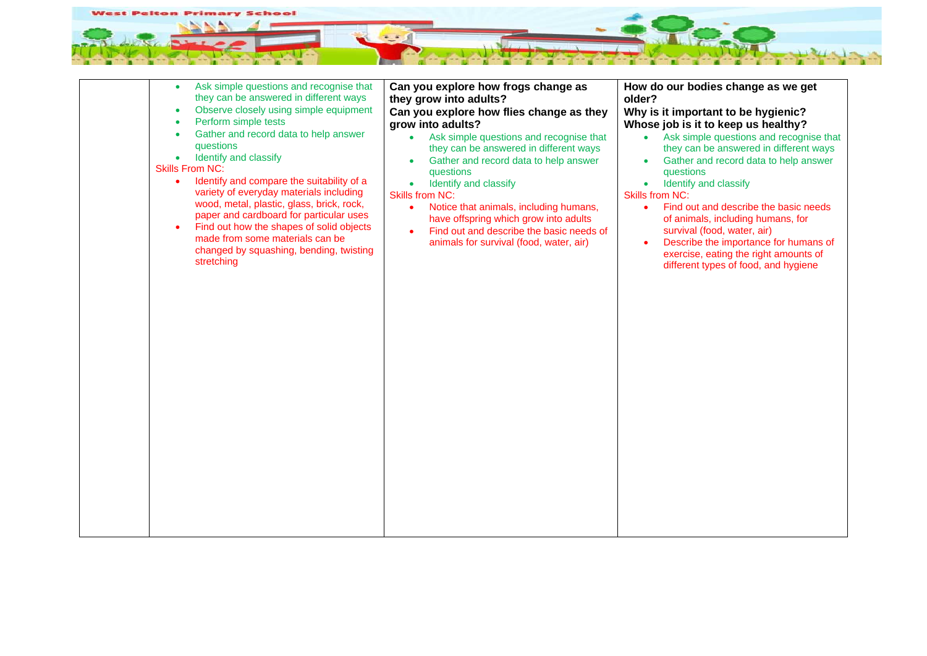

| Ask simple questions and recognise that<br>$\bullet$<br>they can be answered in different ways<br>Observe closely using simple equipment<br>$\bullet$<br>Perform simple tests<br>$\bullet$<br>Gather and record data to help answer<br>$\bullet$<br>questions<br>Identify and classify<br>$\bullet$<br><b>Skills From NC:</b><br>Identify and compare the suitability of a<br>variety of everyday materials including<br>wood, metal, plastic, glass, brick, rock,<br>paper and cardboard for particular uses<br>Find out how the shapes of solid objects<br>made from some materials can be<br>changed by squashing, bending, twisting<br>stretching | Can you explore how frogs change as<br>they grow into adults?<br>Can you explore how flies change as they<br>grow into adults?<br>Ask simple questions and recognise that<br>$\bullet$<br>they can be answered in different ways<br>Gather and record data to help answer<br>questions<br>Identify and classify<br>$\bullet$<br><b>Skills from NC:</b><br>Notice that animals, including humans,<br>$\bullet$<br>have offspring which grow into adults<br>Find out and describe the basic needs of<br>animals for survival (food, water, air) | How do our bodies change as we get<br>older?<br>Why is it important to be hygienic?<br>Whose job is it to keep us healthy?<br>Ask simple questions and recognise that<br>$\bullet$<br>they can be answered in different ways<br>Gather and record data to help answer<br>questions<br>Identify and classify<br>$\bullet$<br><b>Skills from NC:</b><br>Find out and describe the basic needs<br>$\bullet$<br>of animals, including humans, for<br>survival (food, water, air)<br>Describe the importance for humans of<br>$\bullet$<br>exercise, eating the right amounts of<br>different types of food, and hygiene |
|-------------------------------------------------------------------------------------------------------------------------------------------------------------------------------------------------------------------------------------------------------------------------------------------------------------------------------------------------------------------------------------------------------------------------------------------------------------------------------------------------------------------------------------------------------------------------------------------------------------------------------------------------------|-----------------------------------------------------------------------------------------------------------------------------------------------------------------------------------------------------------------------------------------------------------------------------------------------------------------------------------------------------------------------------------------------------------------------------------------------------------------------------------------------------------------------------------------------|---------------------------------------------------------------------------------------------------------------------------------------------------------------------------------------------------------------------------------------------------------------------------------------------------------------------------------------------------------------------------------------------------------------------------------------------------------------------------------------------------------------------------------------------------------------------------------------------------------------------|
|-------------------------------------------------------------------------------------------------------------------------------------------------------------------------------------------------------------------------------------------------------------------------------------------------------------------------------------------------------------------------------------------------------------------------------------------------------------------------------------------------------------------------------------------------------------------------------------------------------------------------------------------------------|-----------------------------------------------------------------------------------------------------------------------------------------------------------------------------------------------------------------------------------------------------------------------------------------------------------------------------------------------------------------------------------------------------------------------------------------------------------------------------------------------------------------------------------------------|---------------------------------------------------------------------------------------------------------------------------------------------------------------------------------------------------------------------------------------------------------------------------------------------------------------------------------------------------------------------------------------------------------------------------------------------------------------------------------------------------------------------------------------------------------------------------------------------------------------------|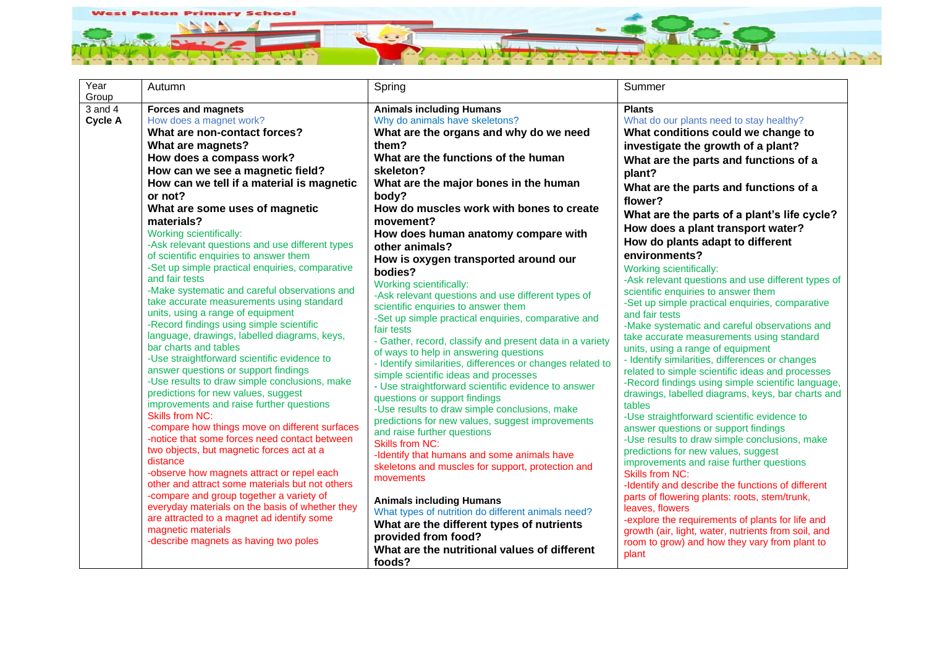

| Year           | Autumn                                                                                | Spring                                                                        | Summer                                                                                                  |
|----------------|---------------------------------------------------------------------------------------|-------------------------------------------------------------------------------|---------------------------------------------------------------------------------------------------------|
| Group          |                                                                                       |                                                                               |                                                                                                         |
| $3$ and $4$    | <b>Forces and magnets</b>                                                             | <b>Animals including Humans</b>                                               | <b>Plants</b>                                                                                           |
| <b>Cycle A</b> | How does a magnet work?                                                               | Why do animals have skeletons?                                                | What do our plants need to stay healthy?                                                                |
|                | What are non-contact forces?                                                          | What are the organs and why do we need                                        | What conditions could we change to                                                                      |
|                | What are magnets?                                                                     | them?                                                                         | investigate the growth of a plant?                                                                      |
|                | How does a compass work?                                                              | What are the functions of the human                                           | What are the parts and functions of a                                                                   |
|                | How can we see a magnetic field?                                                      | skeleton?                                                                     | plant?                                                                                                  |
|                | How can we tell if a material is magnetic                                             | What are the major bones in the human                                         | What are the parts and functions of a                                                                   |
|                | or not?                                                                               | body?                                                                         | flower?                                                                                                 |
|                | What are some uses of magnetic                                                        | How do muscles work with bones to create                                      | What are the parts of a plant's life cycle?                                                             |
|                | materials?                                                                            | movement?                                                                     | How does a plant transport water?                                                                       |
|                | Working scientifically:<br>-Ask relevant questions and use different types            | How does human anatomy compare with                                           | How do plants adapt to different                                                                        |
|                | of scientific enquiries to answer them                                                | other animals?                                                                | environments?                                                                                           |
|                | -Set up simple practical enquiries, comparative                                       | How is oxygen transported around our                                          | <b>Working scientifically:</b>                                                                          |
|                | and fair tests                                                                        | bodies?                                                                       | -Ask relevant questions and use different types of                                                      |
|                | -Make systematic and careful observations and                                         | Working scientifically:<br>-Ask relevant questions and use different types of | scientific enquiries to answer them                                                                     |
|                | take accurate measurements using standard                                             | scientific enquiries to answer them                                           | -Set up simple practical enquiries, comparative                                                         |
|                | units, using a range of equipment                                                     | -Set up simple practical enquiries, comparative and                           | and fair tests                                                                                          |
|                | -Record findings using simple scientific                                              | fair tests                                                                    | -Make systematic and careful observations and                                                           |
|                | language, drawings, labelled diagrams, keys,                                          | - Gather, record, classify and present data in a variety                      | take accurate measurements using standard                                                               |
|                | bar charts and tables                                                                 | of ways to help in answering questions                                        | units, using a range of equipment                                                                       |
|                | -Use straightforward scientific evidence to                                           | - Identify similarities, differences or changes related to                    | - Identify similarities, differences or changes                                                         |
|                | answer questions or support findings<br>-Use results to draw simple conclusions, make | simple scientific ideas and processes                                         | related to simple scientific ideas and processes                                                        |
|                | predictions for new values, suggest                                                   | - Use straightforward scientific evidence to answer                           | -Record findings using simple scientific language,<br>drawings, labelled diagrams, keys, bar charts and |
|                | improvements and raise further questions                                              | questions or support findings                                                 | tables                                                                                                  |
|                | <b>Skills from NC:</b>                                                                | -Use results to draw simple conclusions, make                                 | -Use straightforward scientific evidence to                                                             |
|                | -compare how things move on different surfaces                                        | predictions for new values, suggest improvements                              | answer questions or support findings                                                                    |
|                | -notice that some forces need contact between                                         | and raise further questions<br><b>Skills from NC:</b>                         | -Use results to draw simple conclusions, make                                                           |
|                | two objects, but magnetic forces act at a                                             | -Identify that humans and some animals have                                   | predictions for new values, suggest                                                                     |
|                | distance                                                                              | skeletons and muscles for support, protection and                             | improvements and raise further questions                                                                |
|                | -observe how magnets attract or repel each                                            | movements                                                                     | <b>Skills from NC:</b>                                                                                  |
|                | other and attract some materials but not others                                       |                                                                               | -Identify and describe the functions of different                                                       |
|                | -compare and group together a variety of                                              | <b>Animals including Humans</b>                                               | parts of flowering plants: roots, stem/trunk,                                                           |
|                | everyday materials on the basis of whether they                                       | What types of nutrition do different animals need?                            | leaves, flowers                                                                                         |
|                | are attracted to a magnet ad identify some<br>magnetic materials                      | What are the different types of nutrients                                     | -explore the requirements of plants for life and                                                        |
|                | -describe magnets as having two poles                                                 | provided from food?                                                           | growth (air, light, water, nutrients from soil, and<br>room to grow) and how they vary from plant to    |
|                |                                                                                       | What are the nutritional values of different                                  | plant                                                                                                   |
|                |                                                                                       | foods?                                                                        |                                                                                                         |
|                |                                                                                       |                                                                               |                                                                                                         |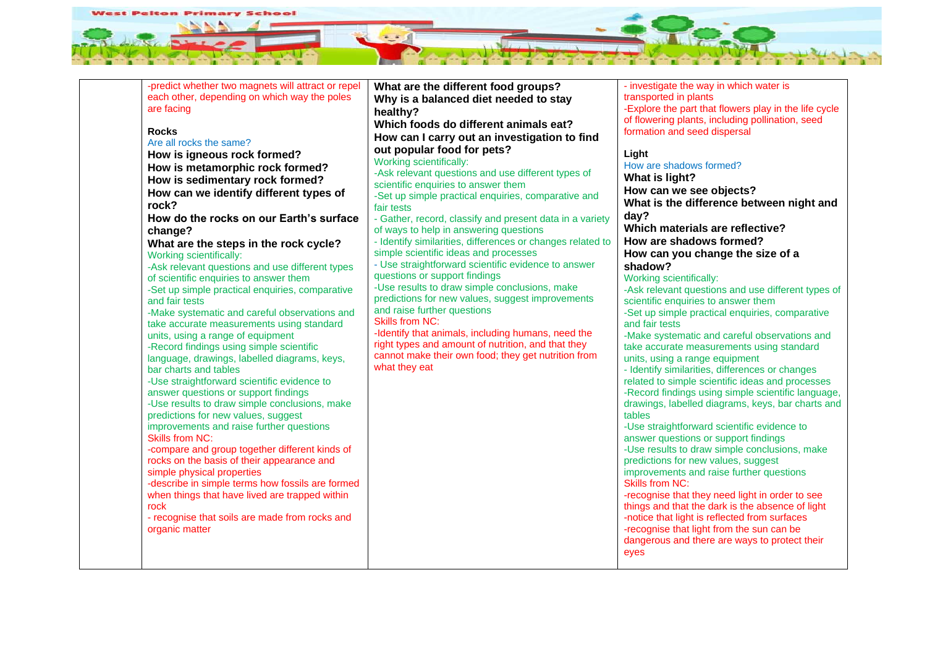

| -predict whether two magnets will attract or repel                    | What are the different food groups?                                                                      | - investigate the way in which water is                                                             |
|-----------------------------------------------------------------------|----------------------------------------------------------------------------------------------------------|-----------------------------------------------------------------------------------------------------|
| each other, depending on which way the poles                          | Why is a balanced diet needed to stay                                                                    | transported in plants                                                                               |
| are facing                                                            | healthy?                                                                                                 | -Explore the part that flowers play in the life cycle                                               |
| <b>Rocks</b>                                                          | Which foods do different animals eat?                                                                    | of flowering plants, including pollination, seed<br>formation and seed dispersal                    |
| Are all rocks the same?                                               | How can I carry out an investigation to find                                                             |                                                                                                     |
| How is igneous rock formed?                                           | out popular food for pets?                                                                               | Light                                                                                               |
| How is metamorphic rock formed?                                       | Working scientifically:                                                                                  | How are shadows formed?                                                                             |
| How is sedimentary rock formed?                                       | -Ask relevant questions and use different types of                                                       | What is light?                                                                                      |
| How can we identify different types of                                | scientific enquiries to answer them                                                                      | How can we see objects?                                                                             |
| rock?                                                                 | -Set up simple practical enquiries, comparative and                                                      | What is the difference between night and                                                            |
| How do the rocks on our Earth's surface                               | fair tests<br>- Gather, record, classify and present data in a variety                                   | day?                                                                                                |
| change?                                                               | of ways to help in answering questions                                                                   | Which materials are reflective?                                                                     |
| What are the steps in the rock cycle?                                 | - Identify similarities, differences or changes related to                                               | How are shadows formed?                                                                             |
| Working scientifically:                                               | simple scientific ideas and processes                                                                    | How can you change the size of a                                                                    |
| -Ask relevant questions and use different types                       | - Use straightforward scientific evidence to answer                                                      | shadow?                                                                                             |
| of scientific enquiries to answer them                                | questions or support findings                                                                            | Working scientifically:                                                                             |
| -Set up simple practical enquiries, comparative                       | -Use results to draw simple conclusions, make                                                            | -Ask relevant questions and use different types of                                                  |
| and fair tests                                                        | predictions for new values, suggest improvements                                                         | scientific enquiries to answer them                                                                 |
| -Make systematic and careful observations and                         | and raise further questions                                                                              | -Set up simple practical enquiries, comparative                                                     |
| take accurate measurements using standard                             | <b>Skills from NC:</b>                                                                                   | and fair tests                                                                                      |
| units, using a range of equipment                                     | -Identify that animals, including humans, need the<br>right types and amount of nutrition, and that they | -Make systematic and careful observations and                                                       |
| -Record findings using simple scientific                              | cannot make their own food; they get nutrition from                                                      | take accurate measurements using standard                                                           |
| language, drawings, labelled diagrams, keys,<br>bar charts and tables | what they eat                                                                                            | units, using a range equipment<br>- Identify similarities, differences or changes                   |
| -Use straightforward scientific evidence to                           |                                                                                                          | related to simple scientific ideas and processes                                                    |
| answer questions or support findings                                  |                                                                                                          | -Record findings using simple scientific language,                                                  |
| -Use results to draw simple conclusions, make                         |                                                                                                          | drawings, labelled diagrams, keys, bar charts and                                                   |
| predictions for new values, suggest                                   |                                                                                                          | tables                                                                                              |
| improvements and raise further questions                              |                                                                                                          | -Use straightforward scientific evidence to                                                         |
| <b>Skills from NC:</b>                                                |                                                                                                          | answer questions or support findings                                                                |
| -compare and group together different kinds of                        |                                                                                                          | -Use results to draw simple conclusions, make                                                       |
| rocks on the basis of their appearance and                            |                                                                                                          | predictions for new values, suggest                                                                 |
| simple physical properties                                            |                                                                                                          | improvements and raise further questions                                                            |
| -describe in simple terms how fossils are formed                      |                                                                                                          | <b>Skills from NC:</b>                                                                              |
| when things that have lived are trapped within<br>rock                |                                                                                                          | -recognise that they need light in order to see<br>things and that the dark is the absence of light |
| - recognise that soils are made from rocks and                        |                                                                                                          | -notice that light is reflected from surfaces                                                       |
| organic matter                                                        |                                                                                                          | -recognise that light from the sun can be                                                           |
|                                                                       |                                                                                                          | dangerous and there are ways to protect their                                                       |
|                                                                       |                                                                                                          | eyes                                                                                                |
|                                                                       |                                                                                                          |                                                                                                     |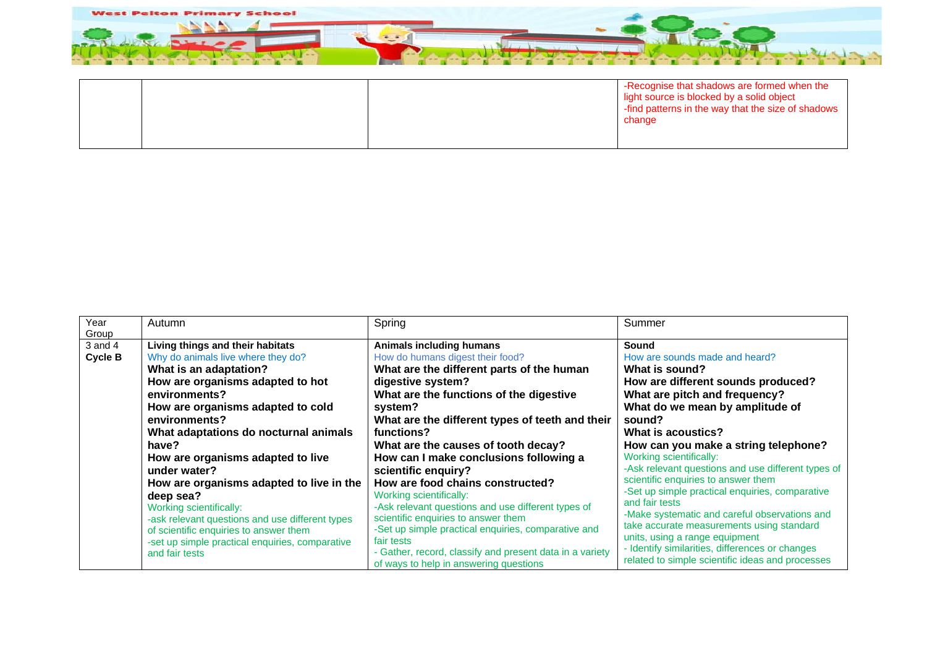

|  | I -Recognise that shadows are formed when the<br>light source is blocked by a solid object<br>I -find patterns in the way that the size of shadows<br>change |
|--|--------------------------------------------------------------------------------------------------------------------------------------------------------------|
|  |                                                                                                                                                              |

| Year<br>Group          | Autumn                                                                                                                                                                                                                                                                                                                                                                                                                                                                                                                                                                   | Spring                                                                                                                                                                                                                                                                                                                                                                                                                                                                                                                                                                                                                                                                                                      | Summer                                                                                                                                                                                                                                                                                                                                                                                                                                                                                                                                                                                                                                                                          |
|------------------------|--------------------------------------------------------------------------------------------------------------------------------------------------------------------------------------------------------------------------------------------------------------------------------------------------------------------------------------------------------------------------------------------------------------------------------------------------------------------------------------------------------------------------------------------------------------------------|-------------------------------------------------------------------------------------------------------------------------------------------------------------------------------------------------------------------------------------------------------------------------------------------------------------------------------------------------------------------------------------------------------------------------------------------------------------------------------------------------------------------------------------------------------------------------------------------------------------------------------------------------------------------------------------------------------------|---------------------------------------------------------------------------------------------------------------------------------------------------------------------------------------------------------------------------------------------------------------------------------------------------------------------------------------------------------------------------------------------------------------------------------------------------------------------------------------------------------------------------------------------------------------------------------------------------------------------------------------------------------------------------------|
| $3$ and $4$<br>Cycle B | Living things and their habitats<br>Why do animals live where they do?<br>What is an adaptation?<br>How are organisms adapted to hot<br>environments?<br>How are organisms adapted to cold<br>environments?<br>What adaptations do nocturnal animals<br>have?<br>How are organisms adapted to live<br>under water?<br>How are organisms adapted to live in the<br>deep sea?<br>Working scientifically:<br>-ask relevant questions and use different types<br>of scientific enquiries to answer them<br>-set up simple practical enquiries, comparative<br>and fair tests | <b>Animals including humans</b><br>How do humans digest their food?<br>What are the different parts of the human<br>digestive system?<br>What are the functions of the digestive<br>system?<br>What are the different types of teeth and their<br>functions?<br>What are the causes of tooth decay?<br>How can I make conclusions following a<br>scientific enquiry?<br>How are food chains constructed?<br>Working scientifically:<br>-Ask relevant questions and use different types of<br>scientific enquiries to answer them<br>-Set up simple practical enquiries, comparative and<br>fair tests<br>- Gather, record, classify and present data in a variety<br>of ways to help in answering questions | Sound<br>How are sounds made and heard?<br>What is sound?<br>How are different sounds produced?<br>What are pitch and frequency?<br>What do we mean by amplitude of<br>sound?<br>What is acoustics?<br>How can you make a string telephone?<br>Working scientifically:<br>-Ask relevant questions and use different types of<br>scientific enquiries to answer them<br>-Set up simple practical enquiries, comparative<br>and fair tests<br>-Make systematic and careful observations and<br>take accurate measurements using standard<br>units, using a range equipment<br>- Identify similarities, differences or changes<br>related to simple scientific ideas and processes |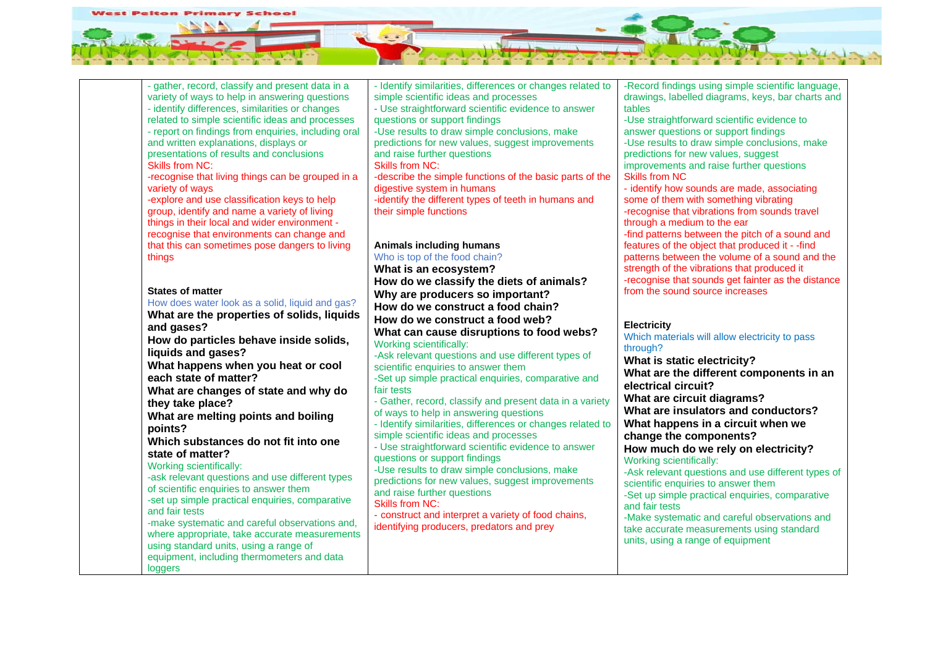

- gather, record, classify and present data in a variety of ways to help in answering questions - identify differences, similarities or changes related to simple scientific ideas and processes - report on findings from enquiries, including oral and written explanations, displays or presentations of results and conclusions Skills from NC: -recognise that living things can be grouped in a variety of ways -explore and use classification keys to help group, identify and name a variety of living things in their local and wider environment recognise that environments can change and that this can sometimes pose dangers to living things **States of matter** How does water look as a solid, liquid and gas? **What are the properties of solids, liquids and gases? How do particles behave inside solids, liquids and gases? What happens when you heat or cool each state of matter? What are changes of state and why do they take place? What are melting points and boiling points? Which substances do not fit into one state of matter?** Working scientifically: -ask relevant questions and use different types of scientific enquiries to answer them -set up simple practical enquiries, comparative and fair tests -make systematic and careful observations and, where appropriate, take accurate measurements using standard units, using a range of equipment, including thermometers and data **loggers** 

- Identify similarities, differences or changes related to simple scientific ideas and processes

- Use straightforward scientific evidence to answer questions or support findings

-Use results to draw simple conclusions, make predictions for new values, suggest improvements and raise further questions

Skills from NC:

-describe the simple functions of the basic parts of the digestive system in humans

-identify the different types of teeth in humans and their simple functions

## **Animals including humans**

Who is top of the food chain? **What is an ecosystem? How do we classify the diets of animals? Why are producers so important? How do we construct a food chain? How do we construct a food web?**

**What can cause disruptions to food webs?** Working scientifically:

-Ask relevant questions and use different types of scientific enquiries to answer them

-Set up simple practical enquiries, comparative and fair tests - Gather, record, classify and present data in a variety

of ways to help in answering questions

- Identify similarities, differences or changes related to simple scientific ideas and processes

- Use straightforward scientific evidence to answer questions or support findings

-Use results to draw simple conclusions, make predictions for new values, suggest improvements and raise further questions

Skills from NC:

- construct and interpret a variety of food chains, identifying producers, predators and prey

-Record findings using simple scientific language, drawings, labelled diagrams, keys, bar charts and tables

-Use straightforward scientific evidence to answer questions or support findings

-Use results to draw simple conclusions, make predictions for new values, suggest improvements and raise further questions Skills from NC

- identify how sounds are made, associating some of them with something vibrating -recognise that vibrations from sounds travel through a medium to the ear -find patterns between the pitch of a sound and features of the object that produced it - -find patterns between the volume of a sound and the strength of the vibrations that produced it -recognise that sounds get fainter as the distance from the sound source increases

## **Electricity**

Which materials will allow electricity to pass through? **What is static electricity? What are the different components in an electrical circuit? What are circuit diagrams? What are insulators and conductors? What happens in a circuit when we change the components? How much do we rely on electricity?** Working scientifically: -Ask relevant questions and use different types of scientific enquiries to answer them -Set up simple practical enquiries, comparative and fair tests -Make systematic and careful observations and take accurate measurements using standard units, using a range of equipment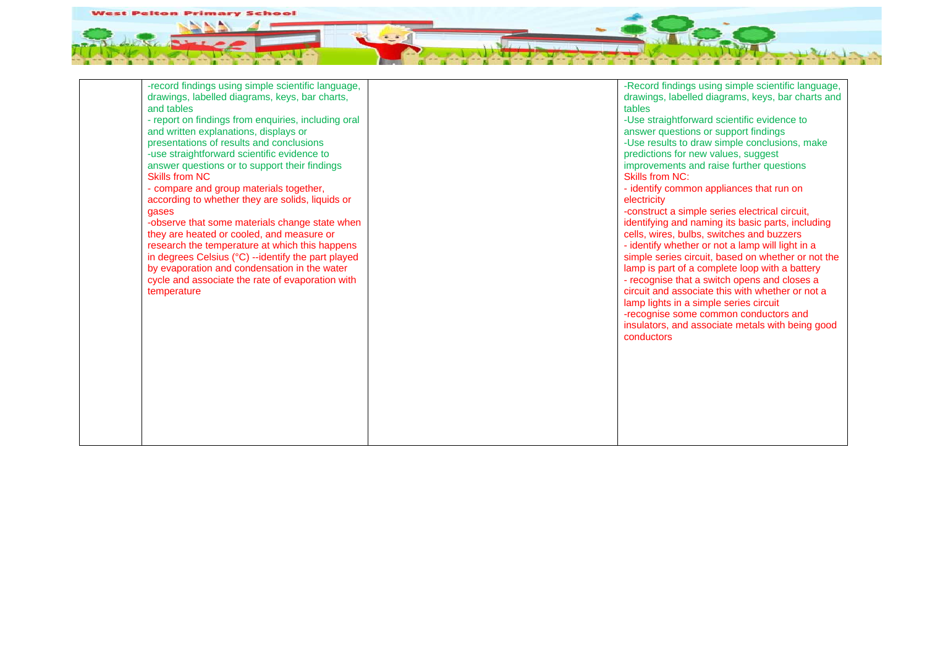

| -record findings using simple scientific language,<br>drawings, labelled diagrams, keys, bar charts,<br>and tables<br>- report on findings from enquiries, including oral<br>and written explanations, displays or<br>presentations of results and conclusions<br>-use straightforward scientific evidence to<br>answer questions or to support their findings<br><b>Skills from NC</b><br>- compare and group materials together,<br>according to whether they are solids, liquids or<br>gases<br>-observe that some materials change state when<br>they are heated or cooled, and measure or<br>research the temperature at which this happens<br>in degrees Celsius (°C) --identify the part played<br>by evaporation and condensation in the water<br>cycle and associate the rate of evaporation with<br>temperature | -Record findings using simple scientific language,<br>drawings, labelled diagrams, keys, bar charts and<br>tables<br>-Use straightforward scientific evidence to<br>answer questions or support findings<br>-Use results to draw simple conclusions, make<br>predictions for new values, suggest<br>improvements and raise further questions<br>Skills from NC:<br>- identify common appliances that run on<br>electricity<br>-construct a simple series electrical circuit,<br>identifying and naming its basic parts, including<br>cells, wires, bulbs, switches and buzzers<br>- identify whether or not a lamp will light in a<br>simple series circuit, based on whether or not the<br>lamp is part of a complete loop with a battery<br>- recognise that a switch opens and closes a<br>circuit and associate this with whether or not a<br>lamp lights in a simple series circuit<br>-recognise some common conductors and<br>insulators, and associate metals with being good<br>conductors |
|---------------------------------------------------------------------------------------------------------------------------------------------------------------------------------------------------------------------------------------------------------------------------------------------------------------------------------------------------------------------------------------------------------------------------------------------------------------------------------------------------------------------------------------------------------------------------------------------------------------------------------------------------------------------------------------------------------------------------------------------------------------------------------------------------------------------------|-----------------------------------------------------------------------------------------------------------------------------------------------------------------------------------------------------------------------------------------------------------------------------------------------------------------------------------------------------------------------------------------------------------------------------------------------------------------------------------------------------------------------------------------------------------------------------------------------------------------------------------------------------------------------------------------------------------------------------------------------------------------------------------------------------------------------------------------------------------------------------------------------------------------------------------------------------------------------------------------------------|
|                                                                                                                                                                                                                                                                                                                                                                                                                                                                                                                                                                                                                                                                                                                                                                                                                           |                                                                                                                                                                                                                                                                                                                                                                                                                                                                                                                                                                                                                                                                                                                                                                                                                                                                                                                                                                                                     |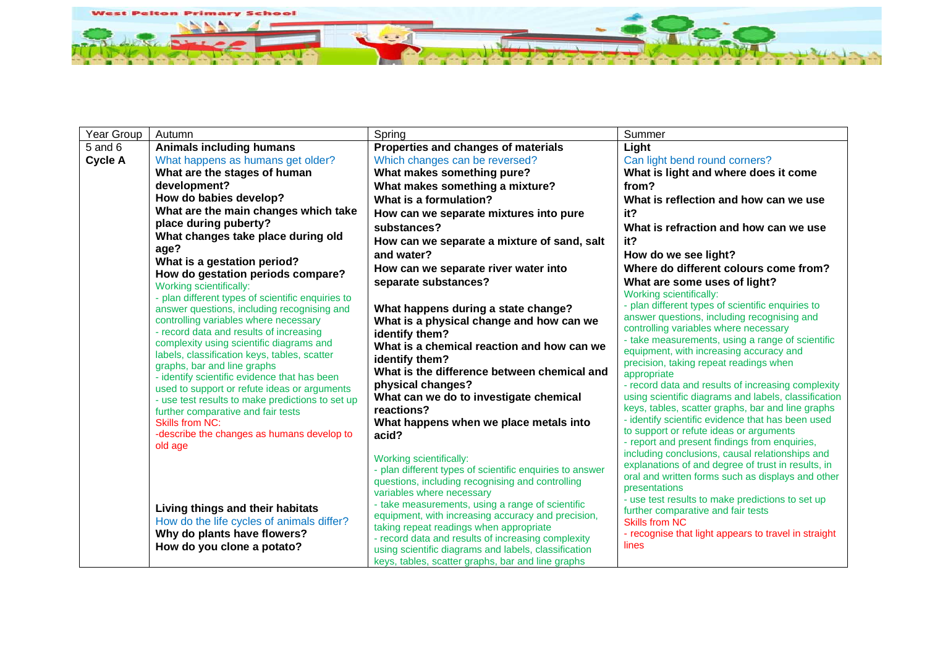

| Year Group     | Autumn                                                                                   | Spring                                                                                        | Summer                                                                                                 |
|----------------|------------------------------------------------------------------------------------------|-----------------------------------------------------------------------------------------------|--------------------------------------------------------------------------------------------------------|
| $5$ and $6$    | <b>Animals including humans</b>                                                          | Properties and changes of materials                                                           | Light                                                                                                  |
| <b>Cycle A</b> | What happens as humans get older?                                                        | Which changes can be reversed?                                                                | Can light bend round corners?                                                                          |
|                | What are the stages of human                                                             | What makes something pure?                                                                    | What is light and where does it come                                                                   |
|                | development?                                                                             | What makes something a mixture?                                                               | from?                                                                                                  |
|                | How do babies develop?                                                                   | What is a formulation?                                                                        | What is reflection and how can we use                                                                  |
|                | What are the main changes which take                                                     | How can we separate mixtures into pure                                                        | it?                                                                                                    |
|                | place during puberty?                                                                    | substances?                                                                                   | What is refraction and how can we use                                                                  |
|                | What changes take place during old                                                       | How can we separate a mixture of sand, salt                                                   | it?                                                                                                    |
|                | age?                                                                                     | and water?                                                                                    | How do we see light?                                                                                   |
|                | What is a gestation period?<br>How do gestation periods compare?                         | How can we separate river water into                                                          | Where do different colours come from?                                                                  |
|                | <b>Working scientifically:</b>                                                           | separate substances?                                                                          | What are some uses of light?                                                                           |
|                | - plan different types of scientific enquiries to                                        |                                                                                               | Working scientifically:                                                                                |
|                | answer questions, including recognising and                                              | What happens during a state change?                                                           | - plan different types of scientific enquiries to                                                      |
|                | controlling variables where necessary                                                    | What is a physical change and how can we                                                      | answer questions, including recognising and<br>controlling variables where necessary                   |
|                | - record data and results of increasing                                                  | identify them?                                                                                | - take measurements, using a range of scientific                                                       |
|                | complexity using scientific diagrams and<br>labels, classification keys, tables, scatter | What is a chemical reaction and how can we                                                    | equipment, with increasing accuracy and                                                                |
|                | graphs, bar and line graphs                                                              | identify them?                                                                                | precision, taking repeat readings when                                                                 |
|                | - identify scientific evidence that has been                                             | What is the difference between chemical and                                                   | appropriate                                                                                            |
|                | used to support or refute ideas or arguments                                             | physical changes?                                                                             | - record data and results of increasing complexity                                                     |
|                | - use test results to make predictions to set up                                         | What can we do to investigate chemical                                                        | using scientific diagrams and labels, classification                                                   |
|                | further comparative and fair tests                                                       | reactions?                                                                                    | keys, tables, scatter graphs, bar and line graphs<br>- identify scientific evidence that has been used |
|                | <b>Skills from NC:</b>                                                                   | What happens when we place metals into                                                        | to support or refute ideas or arguments                                                                |
|                | -describe the changes as humans develop to<br>old age                                    | acid?                                                                                         | - report and present findings from enquiries,                                                          |
|                |                                                                                          | Working scientifically:                                                                       | including conclusions, causal relationships and                                                        |
|                |                                                                                          | - plan different types of scientific enquiries to answer                                      | explanations of and degree of trust in results, in                                                     |
|                |                                                                                          | questions, including recognising and controlling                                              | oral and written forms such as displays and other                                                      |
|                |                                                                                          | variables where necessary                                                                     | presentations<br>- use test results to make predictions to set up                                      |
|                | Living things and their habitats                                                         | - take measurements, using a range of scientific                                              | further comparative and fair tests                                                                     |
|                | How do the life cycles of animals differ?                                                | equipment, with increasing accuracy and precision,                                            | Skills from NC                                                                                         |
|                | Why do plants have flowers?                                                              | taking repeat readings when appropriate<br>- record data and results of increasing complexity | - recognise that light appears to travel in straight                                                   |
|                | How do you clone a potato?                                                               | using scientific diagrams and labels, classification                                          | lines                                                                                                  |
|                |                                                                                          | keys, tables, scatter graphs, bar and line graphs                                             |                                                                                                        |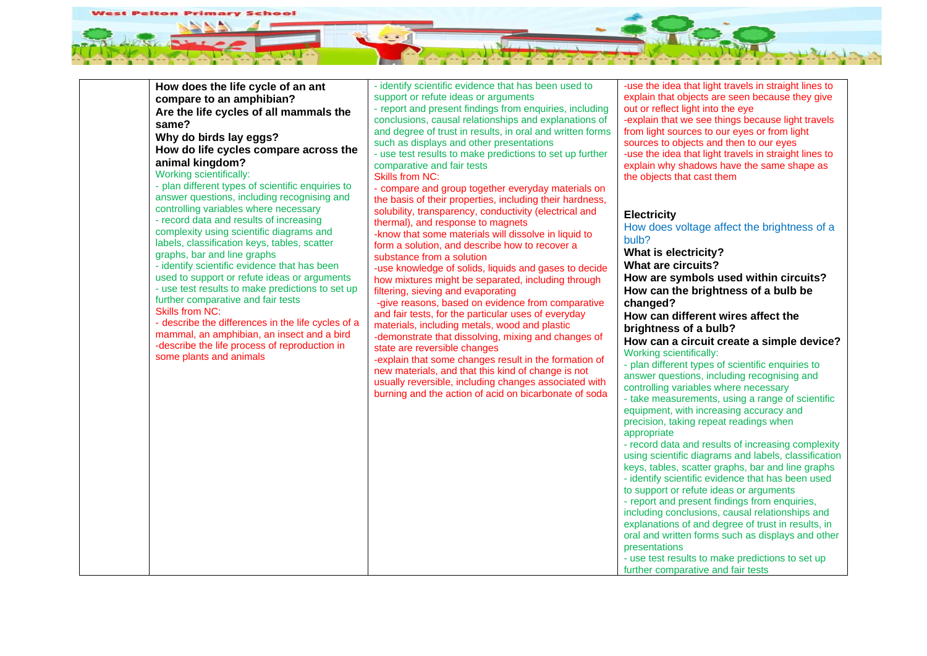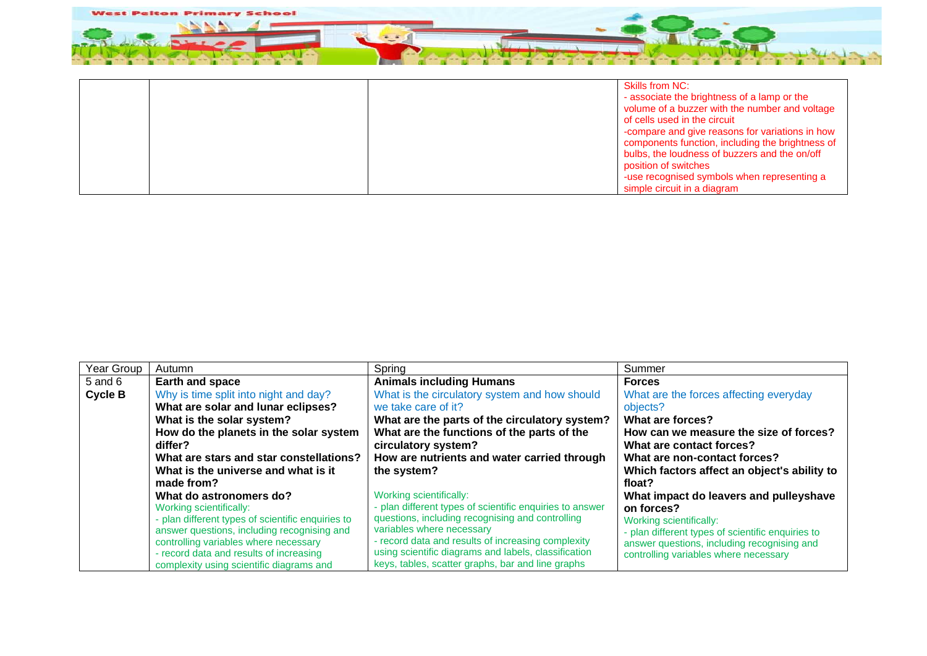

|  | <b>Skills from NC:</b><br>- associate the brightness of a lamp or the<br>volume of a buzzer with the number and voltage<br>of cells used in the circuit<br>-compare and give reasons for variations in how<br>components function, including the brightness of<br>bulbs, the loudness of buzzers and the on/off<br>position of switches |
|--|-----------------------------------------------------------------------------------------------------------------------------------------------------------------------------------------------------------------------------------------------------------------------------------------------------------------------------------------|
|  | -use recognised symbols when representing a                                                                                                                                                                                                                                                                                             |
|  | simple circuit in a diagram                                                                                                                                                                                                                                                                                                             |

| Year Group     | Autumn                                            | Spring                                                                                                     | Summer                                            |
|----------------|---------------------------------------------------|------------------------------------------------------------------------------------------------------------|---------------------------------------------------|
| $5$ and $6$    | Earth and space                                   | <b>Animals including Humans</b>                                                                            | <b>Forces</b>                                     |
| <b>Cycle B</b> | Why is time split into night and day?             | What is the circulatory system and how should                                                              | What are the forces affecting everyday            |
|                | What are solar and lunar eclipses?                | we take care of it?                                                                                        | objects?                                          |
|                | What is the solar system?                         | What are the parts of the circulatory system?                                                              | What are forces?                                  |
|                | How do the planets in the solar system            | What are the functions of the parts of the                                                                 | How can we measure the size of forces?            |
|                | differ?                                           | circulatory system?                                                                                        | What are contact forces?                          |
|                | What are stars and star constellations?           | How are nutrients and water carried through                                                                | What are non-contact forces?                      |
|                | What is the universe and what is it               | the system?                                                                                                | Which factors affect an object's ability to       |
|                | made from?                                        |                                                                                                            | float?                                            |
|                | What do astronomers do?                           | Working scientifically:                                                                                    | What impact do leavers and pulleyshave            |
|                | Working scientifically:                           | - plan different types of scientific enquiries to answer                                                   | on forces?                                        |
|                | - plan different types of scientific enquiries to | questions, including recognising and controlling                                                           | Working scientifically:                           |
|                | answer questions, including recognising and       | variables where necessary                                                                                  | - plan different types of scientific enquiries to |
|                | controlling variables where necessary             | - record data and results of increasing complexity<br>using scientific diagrams and labels, classification | answer questions, including recognising and       |
|                | - record data and results of increasing           | keys, tables, scatter graphs, bar and line graphs                                                          | controlling variables where necessary             |
|                | complexity using scientific diagrams and          |                                                                                                            |                                                   |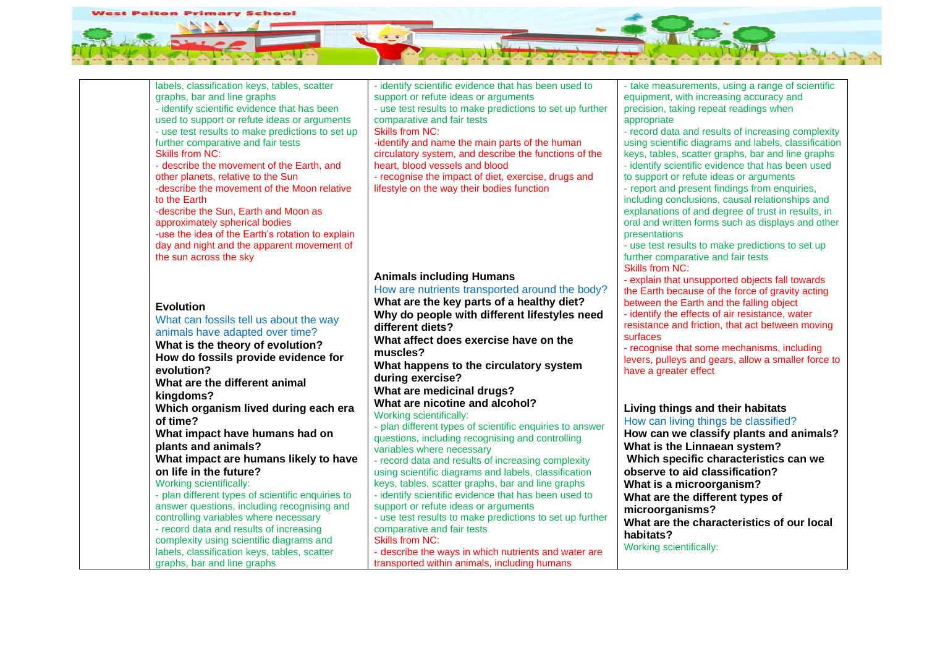

| labels, classification keys, tables, scatter      | - identify scientific evidence that has been used to     | - take measurements, using a range of scientific     |
|---------------------------------------------------|----------------------------------------------------------|------------------------------------------------------|
| graphs, bar and line graphs                       | support or refute ideas or arguments                     | equipment, with increasing accuracy and              |
| - identify scientific evidence that has been      | - use test results to make predictions to set up further | precision, taking repeat readings when               |
| used to support or refute ideas or arguments      | comparative and fair tests                               | appropriate                                          |
| - use test results to make predictions to set up  | <b>Skills from NC:</b>                                   | - record data and results of increasing complexity   |
| further comparative and fair tests                | -identify and name the main parts of the human           | using scientific diagrams and labels, classification |
| <b>Skills from NC:</b>                            | circulatory system, and describe the functions of the    | keys, tables, scatter graphs, bar and line graphs    |
| - describe the movement of the Earth, and         | heart, blood vessels and blood                           | - identify scientific evidence that has been used    |
| other planets, relative to the Sun                | - recognise the impact of diet, exercise, drugs and      | to support or refute ideas or arguments              |
| -describe the movement of the Moon relative       | lifestyle on the way their bodies function               | - report and present findings from enquiries,        |
| to the Earth                                      |                                                          | including conclusions, causal relationships and      |
| -describe the Sun, Earth and Moon as              |                                                          | explanations of and degree of trust in results, in   |
| approximately spherical bodies                    |                                                          | oral and written forms such as displays and other    |
| -use the idea of the Earth's rotation to explain  |                                                          | presentations                                        |
| day and night and the apparent movement of        |                                                          | - use test results to make predictions to set up     |
| the sun across the sky                            |                                                          | further comparative and fair tests                   |
|                                                   |                                                          | <b>Skills from NC:</b>                               |
|                                                   | <b>Animals including Humans</b>                          | - explain that unsupported objects fall towards      |
|                                                   | How are nutrients transported around the body?           | the Earth because of the force of gravity acting     |
|                                                   | What are the key parts of a healthy diet?                | between the Earth and the falling object             |
| <b>Evolution</b>                                  | Why do people with different lifestyles need             | - identify the effects of air resistance, water      |
| What can fossils tell us about the way            | different diets?                                         | resistance and friction, that act between moving     |
| animals have adapted over time?                   |                                                          | surfaces                                             |
| What is the theory of evolution?                  | What affect does exercise have on the                    | - recognise that some mechanisms, including          |
| How do fossils provide evidence for               | muscles?                                                 | levers, pulleys and gears, allow a smaller force to  |
| evolution?                                        | What happens to the circulatory system                   | have a greater effect                                |
| What are the different animal                     | during exercise?                                         |                                                      |
| kingdoms?                                         | What are medicinal drugs?                                |                                                      |
|                                                   | What are nicotine and alcohol?                           |                                                      |
| Which organism lived during each era              | Working scientifically:                                  | Living things and their habitats                     |
| of time?                                          | - plan different types of scientific enquiries to answer | How can living things be classified?                 |
| What impact have humans had on                    | questions, including recognising and controlling         | How can we classify plants and animals?              |
| plants and animals?                               | variables where necessary                                | What is the Linnaean system?                         |
| What impact are humans likely to have             | - record data and results of increasing complexity       | Which specific characteristics can we                |
| on life in the future?                            | using scientific diagrams and labels, classification     | observe to aid classification?                       |
| Working scientifically:                           | keys, tables, scatter graphs, bar and line graphs        | What is a microorganism?                             |
| - plan different types of scientific enquiries to | - identify scientific evidence that has been used to     | What are the different types of                      |
| answer questions, including recognising and       | support or refute ideas or arguments                     | microorganisms?                                      |
| controlling variables where necessary             | - use test results to make predictions to set up further | What are the characteristics of our local            |
| - record data and results of increasing           | comparative and fair tests                               | habitats?                                            |
| complexity using scientific diagrams and          | <b>Skills from NC:</b>                                   | Working scientifically:                              |
| labels, classification keys, tables, scatter      | - describe the ways in which nutrients and water are     |                                                      |
| graphs, bar and line graphs                       | transported within animals, including humans             |                                                      |